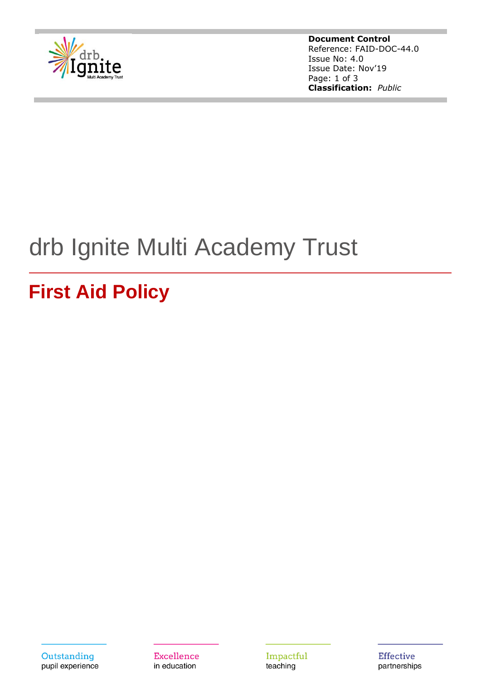

**Document Control** Reference: FAID-DOC-44.0 Issue No: 4.0 Issue Date: Nov'19 Page: 1 of 3 **Classification:** *Public*

# drb Ignite Multi Academy Trust

# **First Aid Policy**

Outstanding pupil experience

**Excellence** in education

Impactful teaching

**Effective** partnerships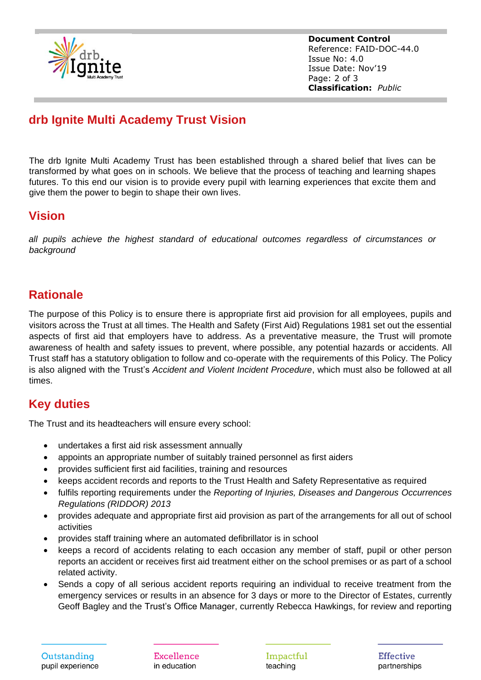

**Document Control** Reference: FAID-DOC-44.0 Issue No: 4.0 Issue Date: Nov'19 Page: 2 of 3 **Classification:** *Public*

# **drb Ignite Multi Academy Trust Vision**

The drb Ignite Multi Academy Trust has been established through a shared belief that lives can be transformed by what goes on in schools. We believe that the process of teaching and learning shapes futures. To this end our vision is to provide every pupil with learning experiences that excite them and give them the power to begin to shape their own lives.

#### **Vision**

*all pupils achieve the highest standard of educational outcomes regardless of circumstances or background*

### **Rationale**

The purpose of this Policy is to ensure there is appropriate first aid provision for all employees, pupils and visitors across the Trust at all times. The Health and Safety (First Aid) Regulations 1981 set out the essential aspects of first aid that employers have to address. As a preventative measure, the Trust will promote awareness of health and safety issues to prevent, where possible, any potential hazards or accidents. All Trust staff has a statutory obligation to follow and co-operate with the requirements of this Policy. The Policy is also aligned with the Trust's *Accident and Violent Incident Procedure*, which must also be followed at all times.

# **Key duties**

The Trust and its headteachers will ensure every school:

- undertakes a first aid risk assessment annually
- appoints an appropriate number of suitably trained personnel as first aiders
- provides sufficient first aid facilities, training and resources
- keeps accident records and reports to the Trust Health and Safety Representative as required
- fulfils reporting requirements under the *Reporting of Injuries, Diseases and Dangerous Occurrences Regulations (RIDDOR) 2013*
- provides adequate and appropriate first aid provision as part of the arrangements for all out of school activities
- provides staff training where an automated defibrillator is in school
- keeps a record of accidents relating to each occasion any member of staff, pupil or other person reports an accident or receives first aid treatment either on the school premises or as part of a school related activity.
- Sends a copy of all serious accident reports requiring an individual to receive treatment from the emergency services or results in an absence for 3 days or more to the Director of Estates, currently Geoff Bagley and the Trust's Office Manager, currently Rebecca Hawkings, for review and reporting

Excellence in education

Impactful teaching

**Effective** partnerships